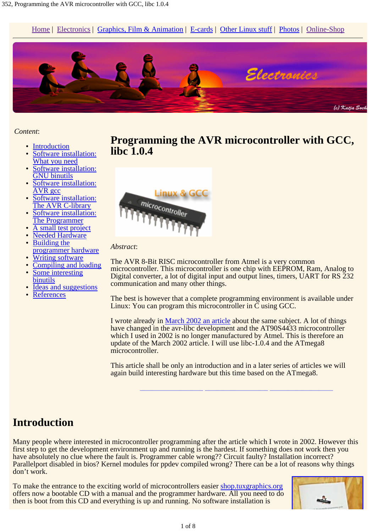Home | Electronics | Graphics, Film & Animation | E-cards | Other Linux stuff | Photos | Online-Shop



#### *Content*:

- Introduction
- Software installation: What you need
- Software installation: GNU binutils
- Software installation: AVR gcc
- Software installation: The AVR C-library
- Software installation: The Programmer
- A small test project
- Needed Hardware Building the
- programmer hardware
- Writing software
- Compiling and loading Some interesting binutils
- Ideas and suggestions
- **References**





#### *Abstract*:

The AVR 8-Bit RISC microcontroller from Atmel is a very common microcontroller. This microcontroller is one chip with EEPROM, Ram, Analog to Digital converter, a lot of digital input and output lines, timers, UART for RS 232 communication and many other things.

The best is however that a complete programming environment is available under Linux: You can program this microcontroller in C using GCC.

I wrote already in March 2002 an article about the same subject. A lot of things have changed in the avr-libc development and the AT90S4433 microcontroller which I used in 2002 is no longer manufactured by Atmel. This is therefore an update of the March 2002 article. I will use libc-1.0.4 and the ATmega8 microcontroller.

This article shall be only an introduction and in a later series of articles we will again build interesting hardware but this time based on the ATmega8.

**\_\_\_\_\_\_\_\_\_\_\_\_\_\_\_\_\_ \_\_\_\_\_\_\_\_\_\_\_\_\_\_\_\_\_ \_\_\_\_\_\_\_\_\_\_\_\_\_\_\_\_\_**

### **Introduction**

Many people where interested in microcontroller programming after the article which I wrote in 2002. However this first step to get the development environment up and running is the hardest. If something does not work then you have absolutely no clue where the fault is. Programmer cable wrong?? Circuit faulty? Installation incorrect? Parallelport disabled in bios? Kernel modules for ppdev compiled wrong? There can be a lot of reasons why things don't work.

To make the entrance to the exciting world of microcontrollers easier shop.tuxgraphics.org offers now a bootable CD with a manual and the programmer hardware. All you need to do then is boot from this CD and everything is up and running. No software installation is

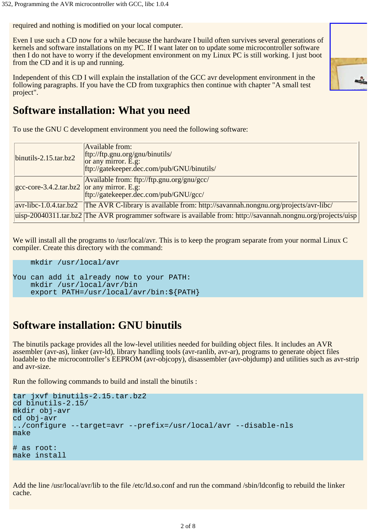required and nothing is modified on your local computer.

Even I use such a CD now for a while because the hardware I build often survives several generations of kernels and software installations on my PC. If I want later on to update some microcontroller software then I do not have to worry if the development environment on my Linux PC is still working. I just boot from the CD and it is up and running.

Independent of this CD I will explain the installation of the GCC avr development environment in the following paragraphs. If you have the CD from tuxgraphics then continue with chapter "A small test project".



### **Software installation: What you need**

To use the GNU C development environment you need the following software:

| $\frac{1}{2}$ binutils-2.15.tar.bz2                | <b>Available from:</b><br>ftp://ftp.gnu.org/gnu/binutils/<br>or any mirror. E.g:<br>ftp://gatekeeper.dec.com/pub/GNU/binutils/ |  |
|----------------------------------------------------|--------------------------------------------------------------------------------------------------------------------------------|--|
| $ $ gcc-core-3.4.2.tar.bz2 $ $ or any mirror. E.g. | Available from: ftp://ftp.gnu.org/gnu/gcc/<br>ftp://gatekeeper.dec.com/pub/GNU/gcc/                                            |  |
|                                                    | avr-libc-1.0.4.tar.bz2 The AVR C-library is available from: http://savannah.nongnu.org/projects/avr-libc/                      |  |
|                                                    | uisp-20040311.tar.bz2 The AVR programmer software is available from: http://savannah.nongnu.org/projects/uisp                  |  |

We will install all the programs to /usr/local/avr. This is to keep the program separate from your normal Linux C compiler. Create this directory with the command:

```
 mkdir /usr/local/avr
```
You can add it already now to your PATH: mkdir /usr/local/avr/bin export PATH=/usr/local/avr/bin:\${PATH}

## **Software installation: GNU binutils**

The binutils package provides all the low-level utilities needed for building object files. It includes an AVR assembler (avr-as), linker (avr-ld), library handling tools (avr-ranlib, avr-ar), programs to generate object files loadable to the microcontroller's EEPROM (avr-objcopy), disassembler (avr-objdump) and utilities such as avr-strip and avr-size.

Run the following commands to build and install the binutils :

```
tar jxvf binutils-2.15.tar.bz2
cd binutils-2.15/
mkdir obj-avr
cd obj-avr
../configure --target=avr --prefix=/usr/local/avr --disable-nls
make
# as root:
make install
```
Add the line /usr/local/avr/lib to the file /etc/ld.so.conf and run the command /sbin/ldconfig to rebuild the linker cache.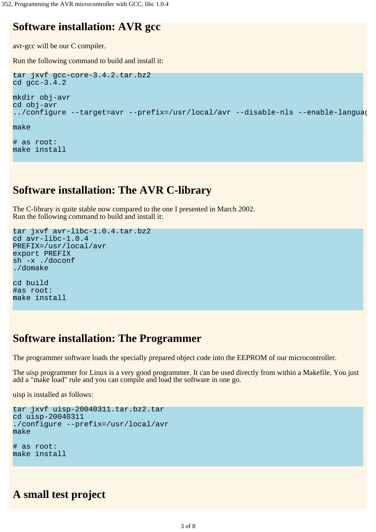# **Software installation: AVR gcc**

avr-gcc will be our C compiler.

Run the following command to build and install it:

```
tar jxvf gcc-core-3.4.2.tar.bz2
cd gcc-3.4.2
mkdir obj-avr
cd obj-avr
../configure --target=avr --prefix=/usr/local/avr --disable-nls --enable-languag
make
```
# as root: make install

### **Software installation: The AVR C-library**

The C-library is quite stable now compared to the one I presented in March 2002. Run the following command to build and install it:

```
tar jxvf avr-libc-1.0.4.tar.bz2
cd avr-libc-1.0.4
PREFIX=/usr/local/avr
export PREFIX
sh -x ./doconf
./domake
cd build
```
#as root: make install

### **Software installation: The Programmer**

The programmer software loads the specially prepared object code into the EEPROM of our microcontroller.

The uisp programmer for Linux is a very good programmer. It can be used directly from within a Makefile. You just add a "make load" rule and you can compile and load the software in one go.

uisp is installed as follows:

```
tar jxvf uisp-20040311.tar.bz2.tar
cd uisp-20040311
./configure --prefix=/usr/local/avr
make
# as root:
make install
```
### **A small test project**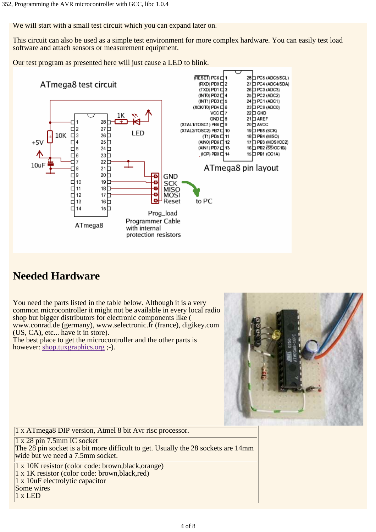We will start with a small test circuit which you can expand later on.

This circuit can also be used as a simple test environment for more complex hardware. You can easily test load software and attach sensors or measurement equipment.

Our test program as presented here will just cause a LED to blink.



## **Needed Hardware**

You need the parts listed in the table below. Although it is a very common microcontroller it might not be available in every local radio shop but bigger distributors for electronic components like ( www.conrad.de (germany), www.selectronic.fr (france), digikey.com (US, CA), etc... have it in store).

The best place to get the microcontroller and the other parts is however: shop.tuxgraphics.org ;-).



1 x ATmega8 DIP version, Atmel 8 bit Avr risc processor.

1 x 28 pin 7.5mm IC socket

The 28 pin socket is a bit more difficult to get. Usually the 28 sockets are 14mm wide but we need a 7.5mm socket.

1 x 10K resistor (color code: brown,black,orange)

- 1 x 1K resistor (color code: brown,black,red)
- 1 x 10uF electrolytic capacitor
- Some wires

1 x LED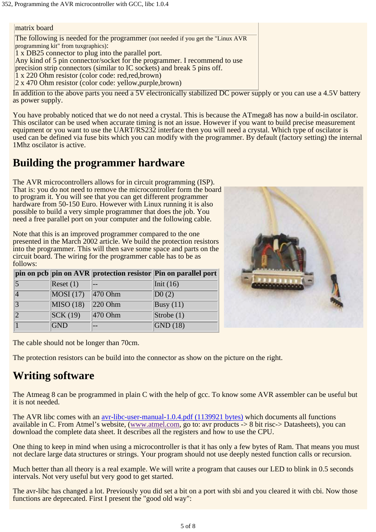matrix board The following is needed for the programmer (not needed if you get the "Linux AVR programming kit" from tuxgraphics): 1 x DB25 connector to plug into the parallel port. Any kind of 5 pin connector/socket for the programmer. I recommend to use precision strip connectors (similar to IC sockets) and break 5 pins off. 1 x 220 Ohm resistor (color code: red,red,brown) 2 x 470 Ohm resistor (color code: yellow,purple,brown)

In addition to the above parts you need a 5V electronically stabilized DC power supply or you can use a 4.5V battery as power supply.

You have probably noticed that we do not need a crystal. This is because the ATmega8 has now a build-in oscilator. This oscilator can be used when accurate timing is not an issue. However if you want to build precise measurement equipment or you want to use the UART/RS232 interface then you will need a crystal. Which type of oscilator is used can be defined via fuse bits which you can modify with the programmer. By default (factory setting) the internal 1Mhz oscilator is active.

## **Building the programmer hardware**

The AVR microcontrollers allows for in circuit programming (ISP). That is: you do not need to remove the microcontroller form the board to program it. You will see that you can get different programmer hardware from 50-150 Euro. However with Linux running it is also possible to build a very simple programmer that does the job. You need a free parallel port on your computer and the following cable.

Note that this is an improved programmer compared to the one presented in the March 2002 article. We build the protection resistors into the programmer. This will then save some space and parts on the circuit board. The wiring for the programmer cable has to be as follows:

|                 |                                       |                          | pin on pcb pin on AVR protection resistor Pin on parallel port |
|-----------------|---------------------------------------|--------------------------|----------------------------------------------------------------|
| $\vert 5 \vert$ | Reset(1)                              | $- -$                    | $\left  \text{Init} \left( 16 \right) \right $                 |
|                 | $\overline{\text{MOSI (17)}}$ 470 Ohm |                          | $\overline{D0(2)}$                                             |
| $\overline{3}$  | $\overline{\text{MISO} (18)}$ 220 Ohm |                          | $\sqrt{\text{Busy}(11)}$                                       |
|                 | $\overline{\text{SCK} (19)}$          | $\sqrt{470 \text{ Ohm}}$ | $\sqrt{\text{Strobe}(1)}$                                      |
|                 | <b>GND</b>                            |                          | $\sqrt{\text{GND}(18)}$                                        |



The cable should not be longer than 70cm.

The protection resistors can be build into the connector as show on the picture on the right.

## **Writing software**

The Atmeag 8 can be programmed in plain C with the help of gcc. To know some AVR assembler can be useful but it is not needed.

The AVR libc comes with an avr-libc-user-manual-1.0.4.pdf (1139921 bytes) which documents all functions available in C. From Atmel's website, (www.atmel.com, go to: avr products -> 8 bit risc-> Datasheets), you can download the complete data sheet. It describes all the registers and how to use the CPU.

One thing to keep in mind when using a microcontroller is that it has only a few bytes of Ram. That means you must not declare large data structures or strings. Your program should not use deeply nested function calls or recursion.

Much better than all theory is a real example. We will write a program that causes our LED to blink in 0.5 seconds intervals. Not very useful but very good to get started.

The avr-libc has changed a lot. Previously you did set a bit on a port with sbi and you cleared it with cbi. Now those functions are deprecated. First I present the "good old way":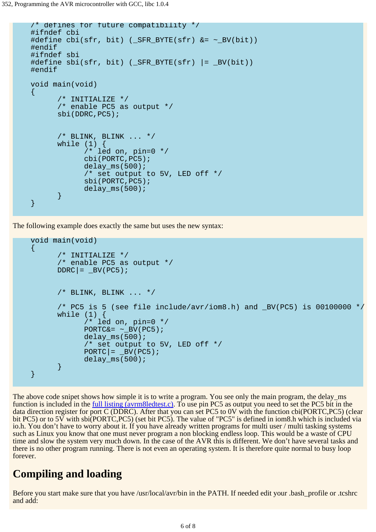```
 /* defines for future compatibility */
     #ifndef cbi
    #define cbi(sfr, bit) ( SFR BYTE(sfr) \&= ~ BV(bit))
     #endif
     #ifndef sbi
    #define sbi(sfr, bit) (SFR BYTE(sfr) |= BV(bit))
     #endif
     void main(void)
    \left\{ \right\}/* INITIALIZE */ /* enable PC5 as output */
           sbi(DDRC,PC5);
          /* BLINK, BLINK \ldots */
          while (1) {
                  /* led on, pin=0 */
                  cbi(PORTC,PC5);
                 delay_m s(500); /* set output to 5V, LED off */
                  sbi(PORTC,PC5);
          delay_ms(500);<br>}
 }
     }
```
The following example does exactly the same but uses the new syntax:

```
 void main(void)
    \{ /* INITIALIZE */
           /* enable PC5 as output */
          DDRC = BV(PC5);
          \frac{1}{2} BLINK, BLINK ... */
            /* PC5 is 5 (see file include/avr/iom8.h) and _BV(PC5) is 00100000 */
          while (1) /* led on, pin=0 */
                 PORTC&= ~\_BV(PC5); delay_ms(500);
                  /* set output to 5V, LED off */
                 PORTC = \underline{B}V(PC5);
                 delay_m s(500); }
     }
```
The above code snipet shows how simple it is to write a program. You see only the main program, the delay ms function is included in the <u>full listing (avrm8ledtest.c)</u>. To use pin PC5 as output you need to set the PC5 bit in the data direction register for port C (DDRC). After that you can set PC5 to 0V with the function cbi(PORTC,PC5) (clear bit PC5) or to 5 $\bar{V}$  with sbi(PORTC,PC5) (set bit PC5). The value of "PC5" is defined in iom8.h which is included via io.h. You don't have to worry about it. If you have already written programs for multi user / multi tasking systems such as Linux you know that one must never program a non blocking endless loop. This would be a waste of CPU time and slow the system very much down. In the case of the AVR this is different. We don't have several tasks and there is no other program running. There is not even an operating system. It is therefore quite normal to busy loop forever.

### **Compiling and loading**

Before you start make sure that you have /usr/local/avr/bin in the PATH. If needed edit your .bash\_profile or .tcshrc and add: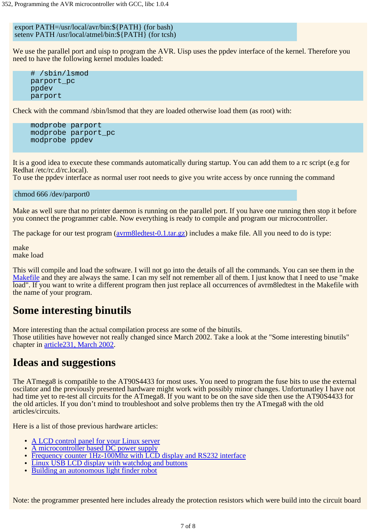export PATH=/usr/local/avr/bin:\${PATH} (for bash) setenv PATH /usr/local/atmel/bin:\${PATH} (for tcsh)

We use the parallel port and uisp to program the AVR. Uisp uses the ppdev interface of the kernel. Therefore you need to have the following kernel modules loaded:

 # /sbin/lsmod parport\_pc ppdev parport

Check with the command /sbin/lsmod that they are loaded otherwise load them (as root) with:

```
 modprobe parport
 modprobe parport_pc
 modprobe ppdev
```
It is a good idea to execute these commands automatically during startup. You can add them to a rc script (e.g for Redhat /etc/rc.d/rc.local).

To use the ppdev interface as normal user root needs to give you write access by once running the command

chmod 666 /dev/parport0

Make as well sure that no printer daemon is running on the parallel port. If you have one running then stop it before you connect the programmer cable. Now everything is ready to compile and program our microcontroller.

The package for our test program (avrm8ledtest-0.1.tar.gz) includes a make file. All you need to do is type:

make make load

This will compile and load the software. I will not go into the details of all the commands. You can see them in the Makefile and they are always the same. I can my self not remember all of them. I just know that I need to use "make" load". If you want to write a different program then just replace all occurrences of avrm8ledtest in the Makefile with the name of your program.

## **Some interesting binutils**

More interesting than the actual compilation process are some of the binutils. Those utilities have however not really changed since March 2002. Take a look at the "Some interesting binutils" chapter in article231, March 2002.

### **Ideas and suggestions**

The ATmega8 is compatible to the AT90S4433 for most uses. You need to program the fuse bits to use the external oscilator and the previously presented hardware might work with possibly minor changes. Unfortunatley I have not had time yet to re-test all circuits for the ATmega8. If you want to be on the save side then use the AT90S4433 for the old articles. If you don't mind to troubleshoot and solve problems then try the ATmega8 with the old articles/circuits.

Here is a list of those previous hardware articles:

- A LCD control panel for your Linux server
- A microcontroller based DC power supply
- Frequency counter 1Hz-100Mhz with LCD display and RS232 interface
- Linux USB LCD display with watchdog and buttons
- Building an autonomous light finder robot

Note: the programmer presented here includes already the protection resistors which were build into the circuit board